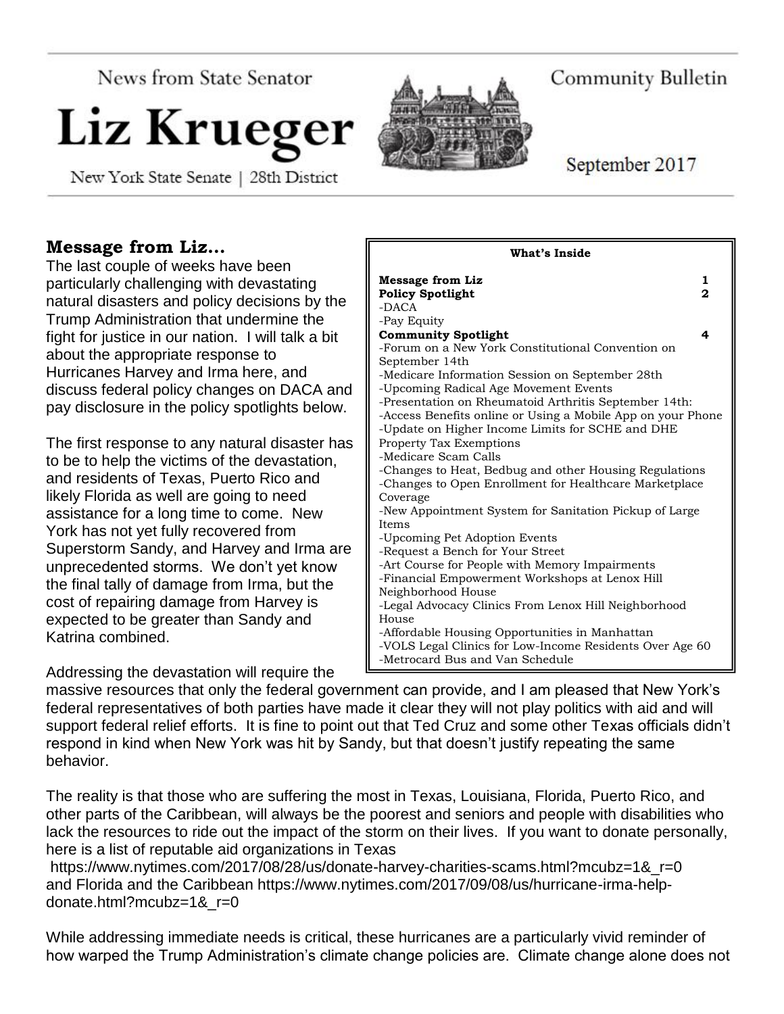News from State Senator

# Liz Krueger

New York State Senate | 28th District



Community Bulletin

September 2017

# **Message from Liz…**

The last couple of weeks have been particularly challenging with devastating natural disasters and policy decisions by the Trump Administration that undermine the fight for justice in our nation. I will talk a bit about the appropriate response to Hurricanes Harvey and Irma here, and discuss federal policy changes on DACA and pay disclosure in the policy spotlights below.

The first response to any natural disaster has to be to help the victims of the devastation, and residents of Texas, Puerto Rico and likely Florida as well are going to need assistance for a long time to come. New York has not yet fully recovered from Superstorm Sandy, and Harvey and Irma are unprecedented storms. We don't yet know the final tally of damage from Irma, but the cost of repairing damage from Harvey is expected to be greater than Sandy and Katrina combined.

Addressing the devastation will require the

| <b>Message from Liz</b><br><b>Policy Spotlight</b><br>$-DACA$                                                                                                                                                                                                                                                                                                                                                                                                                                                | 1<br>2 |
|--------------------------------------------------------------------------------------------------------------------------------------------------------------------------------------------------------------------------------------------------------------------------------------------------------------------------------------------------------------------------------------------------------------------------------------------------------------------------------------------------------------|--------|
| -Pay Equity<br><b>Community Spotlight</b><br>-Forum on a New York Constitutional Convention on<br>September 14th<br>-Medicare Information Session on September 28th<br>-Upcoming Radical Age Movement Events<br>-Presentation on Rheumatoid Arthritis September 14th:<br>-Access Benefits online or Using a Mobile App on your Phone<br>-Update on Higher Income Limits for SCHE and DHE<br><b>Property Tax Exemptions</b><br>-Medicare Scam Calls<br>-Changes to Heat, Bedbug and other Housing Regulations | 4      |
| -Changes to Open Enrollment for Healthcare Marketplace<br>Coverage<br>-New Appointment System for Sanitation Pickup of Large<br><b>Items</b><br>-Upcoming Pet Adoption Events<br>-Request a Bench for Your Street<br>-Art Course for People with Memory Impairments<br>-Financial Empowerment Workshops at Lenox Hill                                                                                                                                                                                        |        |
| Neighborhood House<br>-Legal Advocacy Clinics From Lenox Hill Neighborhood<br>House<br>-Affordable Housing Opportunities in Manhattan<br>-VOLS Legal Clinics for Low-Income Residents Over Age 60<br>-Metrocard Bus and Van Schedule                                                                                                                                                                                                                                                                         |        |

**What's Inside**

massive resources that only the federal government can provide, and I am pleased that New York's federal representatives of both parties have made it clear they will not play politics with aid and will support federal relief efforts. It is fine to point out that Ted Cruz and some other Texas officials didn't respond in kind when New York was hit by Sandy, but that doesn't justify repeating the same behavior.

The reality is that those who are suffering the most in Texas, Louisiana, Florida, Puerto Rico, and other parts of the Caribbean, will always be the poorest and seniors and people with disabilities who lack the resources to ride out the impact of the storm on their lives. If you want to donate personally, here is a list of reputable aid organizations in Texas

https://www.nytimes.com/2017/08/28/us/donate-harvey-charities-scams.html?mcubz=1& r=0 and Florida and the Caribbean https://www.nytimes.com/2017/09/08/us/hurricane-irma-helpdonate.html?mcubz=1&\_r=0

While addressing immediate needs is critical, these hurricanes are a particularly vivid reminder of how warped the Trump Administration's climate change policies are. Climate change alone does not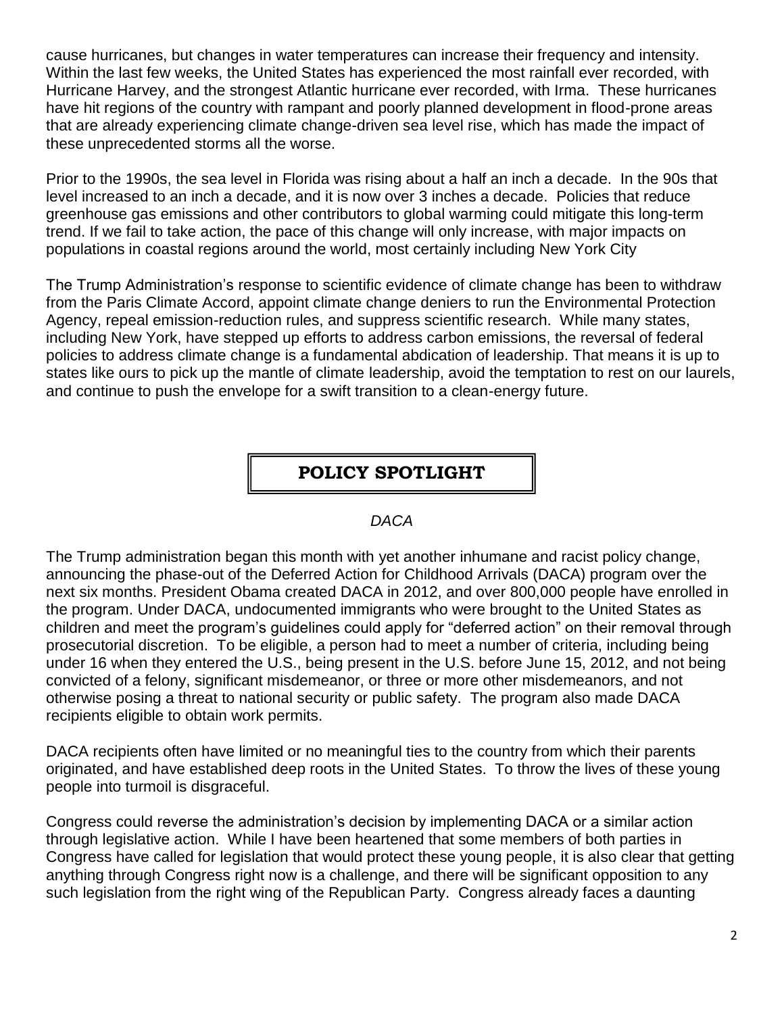cause hurricanes, but changes in water temperatures can increase their frequency and intensity. Within the last few weeks, the United States has experienced the most rainfall ever recorded, with Hurricane Harvey, and the strongest Atlantic hurricane ever recorded, with Irma. These hurricanes have hit regions of the country with rampant and poorly planned development in flood-prone areas that are already experiencing climate change-driven sea level rise, which has made the impact of these unprecedented storms all the worse.

Prior to the 1990s, the sea level in Florida was rising about a half an inch a decade. In the 90s that level increased to an inch a decade, and it is now over 3 inches a decade. Policies that reduce greenhouse gas emissions and other contributors to global warming could mitigate this long-term trend. If we fail to take action, the pace of this change will only increase, with major impacts on populations in coastal regions around the world, most certainly including New York City

The Trump Administration's response to scientific evidence of climate change has been to withdraw from the Paris Climate Accord, appoint climate change deniers to run the Environmental Protection Agency, repeal emission-reduction rules, and suppress scientific research. While many states, including New York, have stepped up efforts to address carbon emissions, the reversal of federal policies to address climate change is a fundamental abdication of leadership. That means it is up to states like ours to pick up the mantle of climate leadership, avoid the temptation to rest on our laurels, and continue to push the envelope for a swift transition to a clean-energy future.

## **POLICY SPOTLIGHT**

#### *DACA*

The Trump administration began this month with yet another inhumane and racist policy change, announcing the phase-out of the Deferred Action for Childhood Arrivals (DACA) program over the next six months. President Obama created DACA in 2012, and over 800,000 people have enrolled in the program. Under DACA, undocumented immigrants who were brought to the United States as children and meet the program's guidelines could apply for "deferred action" on their removal through prosecutorial discretion. To be eligible, a person had to meet a number of criteria, including being under 16 when they entered the U.S., being present in the U.S. before June 15, 2012, and not being convicted of a felony, significant misdemeanor, or three or more other misdemeanors, and not otherwise posing a threat to national security or public safety. The program also made DACA recipients eligible to obtain work permits.

DACA recipients often have limited or no meaningful ties to the country from which their parents originated, and have established deep roots in the United States. To throw the lives of these young people into turmoil is disgraceful.

Congress could reverse the administration's decision by implementing DACA or a similar action through legislative action. While I have been heartened that some members of both parties in Congress have called for legislation that would protect these young people, it is also clear that getting anything through Congress right now is a challenge, and there will be significant opposition to any such legislation from the right wing of the Republican Party. Congress already faces a daunting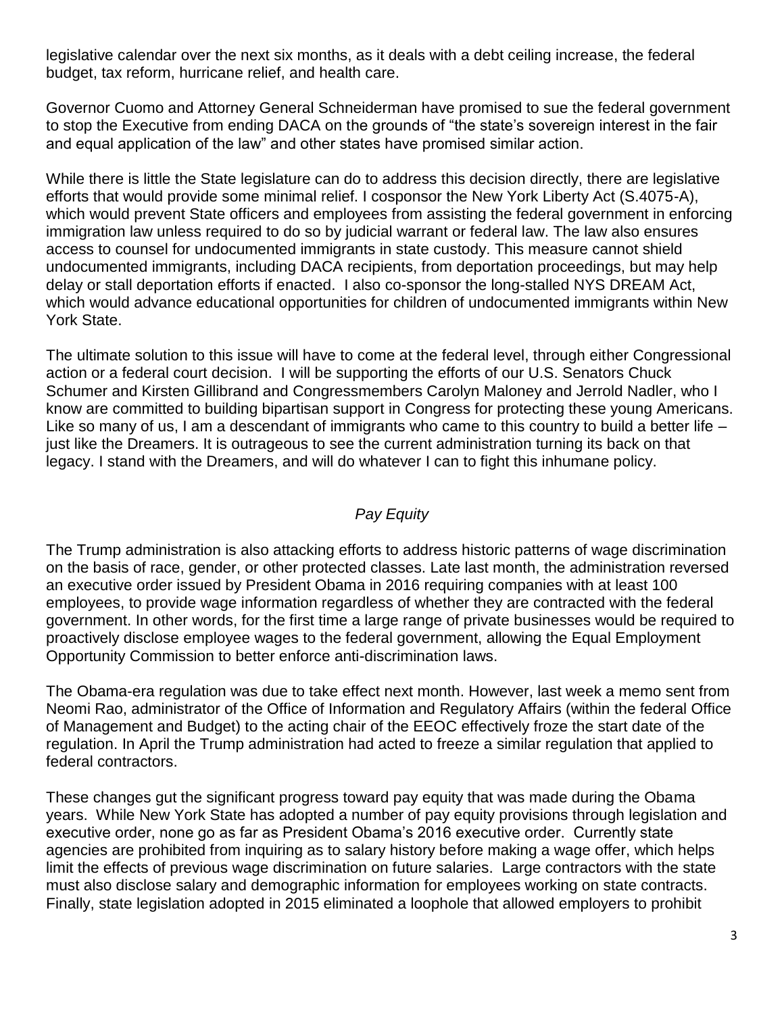legislative calendar over the next six months, as it deals with a debt ceiling increase, the federal budget, tax reform, hurricane relief, and health care.

Governor Cuomo and Attorney General Schneiderman have promised to sue the federal government to stop the Executive from ending DACA on the grounds of "the state's sovereign interest in the fair and equal application of the law" and other states have promised similar action.

While there is little the State legislature can do to address this decision directly, there are legislative efforts that would provide some minimal relief. I cosponsor the New York Liberty Act (S.4075-A), which would prevent State officers and employees from assisting the federal government in enforcing immigration law unless required to do so by judicial warrant or federal law. The law also ensures access to counsel for undocumented immigrants in state custody. This measure cannot shield undocumented immigrants, including DACA recipients, from deportation proceedings, but may help delay or stall deportation efforts if enacted. I also co-sponsor the long-stalled NYS DREAM Act, which would advance educational opportunities for children of undocumented immigrants within New York State.

The ultimate solution to this issue will have to come at the federal level, through either Congressional action or a federal court decision. I will be supporting the efforts of our U.S. Senators Chuck Schumer and Kirsten Gillibrand and Congressmembers Carolyn Maloney and Jerrold Nadler, who I know are committed to building bipartisan support in Congress for protecting these young Americans. Like so many of us, I am a descendant of immigrants who came to this country to build a better life just like the Dreamers. It is outrageous to see the current administration turning its back on that legacy. I stand with the Dreamers, and will do whatever I can to fight this inhumane policy.

## *Pay Equity*

The Trump administration is also attacking efforts to address historic patterns of wage discrimination on the basis of race, gender, or other protected classes. Late last month, the administration reversed an executive order issued by President Obama in 2016 requiring companies with at least 100 employees, to provide wage information regardless of whether they are contracted with the federal government. In other words, for the first time a large range of private businesses would be required to proactively disclose employee wages to the federal government, allowing the Equal Employment Opportunity Commission to better enforce anti-discrimination laws.

The Obama-era regulation was due to take effect next month. However, last week a memo sent from Neomi Rao, administrator of the Office of Information and Regulatory Affairs (within the federal Office of Management and Budget) to the acting chair of the EEOC effectively froze the start date of the regulation. In April the Trump administration had acted to freeze a similar regulation that applied to federal contractors.

These changes gut the significant progress toward pay equity that was made during the Obama years. While New York State has adopted a number of pay equity provisions through legislation and executive order, none go as far as President Obama's 2016 executive order. Currently state agencies are prohibited from inquiring as to salary history before making a wage offer, which helps limit the effects of previous wage discrimination on future salaries. Large contractors with the state must also disclose salary and demographic information for employees working on state contracts. Finally, state legislation adopted in 2015 eliminated a loophole that allowed employers to prohibit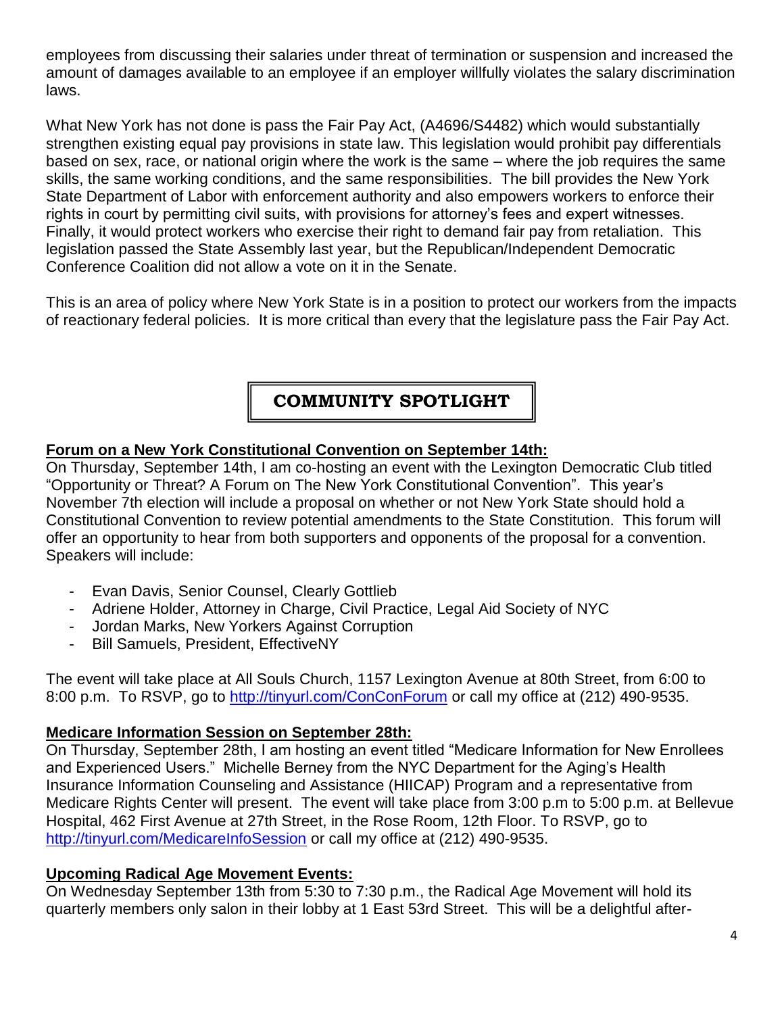employees from discussing their salaries under threat of termination or suspension and increased the amount of damages available to an employee if an employer willfully violates the salary discrimination laws.

What New York has not done is pass the Fair Pay Act, (A4696/S4482) which would substantially strengthen existing equal pay provisions in state law. This legislation would prohibit pay differentials based on sex, race, or national origin where the work is the same – where the job requires the same skills, the same working conditions, and the same responsibilities. The bill provides the New York State Department of Labor with enforcement authority and also empowers workers to enforce their rights in court by permitting civil suits, with provisions for attorney's fees and expert witnesses. Finally, it would protect workers who exercise their right to demand fair pay from retaliation. This legislation passed the State Assembly last year, but the Republican/Independent Democratic Conference Coalition did not allow a vote on it in the Senate.

This is an area of policy where New York State is in a position to protect our workers from the impacts of reactionary federal policies. It is more critical than every that the legislature pass the Fair Pay Act.

# **COMMUNITY SPOTLIGHT**

#### **Forum on a New York Constitutional Convention on September 14th:**

On Thursday, September 14th, I am co-hosting an event with the Lexington Democratic Club titled "Opportunity or Threat? A Forum on The New York Constitutional Convention". This year's November 7th election will include a proposal on whether or not New York State should hold a Constitutional Convention to review potential amendments to the State Constitution. This forum will offer an opportunity to hear from both supporters and opponents of the proposal for a convention. Speakers will include:

- Evan Davis, Senior Counsel, Clearly Gottlieb
- Adriene Holder, Attorney in Charge, Civil Practice, Legal Aid Society of NYC
- Jordan Marks, New Yorkers Against Corruption
- Bill Samuels, President, EffectiveNY

The event will take place at All Souls Church, 1157 Lexington Avenue at 80th Street, from 6:00 to 8:00 p.m. To RSVP, go to<http://tinyurl.com/ConConForum> or call my office at (212) 490-9535.

#### **Medicare Information Session on September 28th:**

On Thursday, September 28th, I am hosting an event titled "Medicare Information for New Enrollees and Experienced Users." Michelle Berney from the NYC Department for the Aging's Health Insurance Information Counseling and Assistance (HIICAP) Program and a representative from Medicare Rights Center will present. The event will take place from 3:00 p.m to 5:00 p.m. at Bellevue Hospital, 462 First Avenue at 27th Street, in the Rose Room, 12th Floor. To RSVP, go to <http://tinyurl.com/MedicareInfoSession> or call my office at (212) 490-9535.

#### **Upcoming Radical Age Movement Events:**

On Wednesday September 13th from 5:30 to 7:30 p.m., the Radical Age Movement will hold its quarterly members only salon in their lobby at 1 East 53rd Street. This will be a delightful after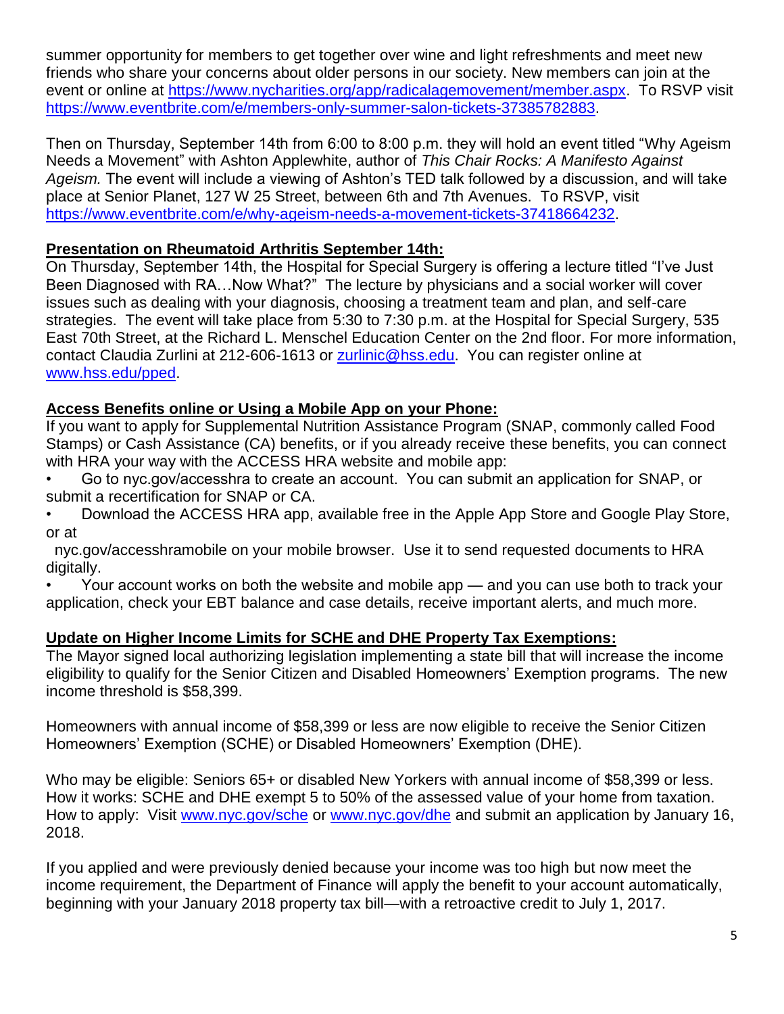summer opportunity for members to get together over wine and light refreshments and meet new friends who share your concerns about older persons in our society. New members can join at the event or online at [https://www.nycharities.org/app/radicalagemovement/member.aspx.](https://www.nycharities.org/app/radicalagemovement/member.aspx) To RSVP visit [https://www.eventbrite.com/e/members-only-summer-salon-tickets-37385782883.](https://www.eventbrite.com/e/members-only-summer-salon-tickets-37385782883)

Then on Thursday, September 14th from 6:00 to 8:00 p.m. they will hold an event titled "Why Ageism Needs a Movement" with Ashton Applewhite, author of *This Chair Rocks: A Manifesto Against Ageism.* The event will include a viewing of Ashton's TED talk followed by a discussion, and will take place at Senior Planet, 127 W 25 Street, between 6th and 7th Avenues. To RSVP, visit [https://www.eventbrite.com/e/why-ageism-needs-a-movement-tickets-37418664232.](https://www.eventbrite.com/e/why-ageism-needs-a-movement-tickets-37418664232)

#### **Presentation on Rheumatoid Arthritis September 14th:**

On Thursday, September 14th, the Hospital for Special Surgery is offering a lecture titled "I've Just Been Diagnosed with RA…Now What?" The lecture by physicians and a social worker will cover issues such as dealing with your diagnosis, choosing a treatment team and plan, and self-care strategies. The event will take place from 5:30 to 7:30 p.m. at the Hospital for Special Surgery, 535 East 70th Street, at the Richard L. Menschel Education Center on the 2nd floor. For more information, contact Claudia Zurlini at 212-606-1613 or [zurlinic@hss.edu.](mailto:zurlinic@hss.edu) You can register online at [www.hss.edu/pped.](http://www.hss.edu/pped)

#### **Access Benefits online or Using a Mobile App on your Phone:**

If you want to apply for Supplemental Nutrition Assistance Program (SNAP, commonly called Food Stamps) or Cash Assistance (CA) benefits, or if you already receive these benefits, you can connect with HRA your way with the ACCESS HRA website and mobile app:

- Go to nyc.gov/accesshra to create an account. You can submit an application for SNAP, or submit a recertification for SNAP or CA.
- Download the ACCESS HRA app, available free in the Apple App Store and Google Play Store, or at

 nyc.gov/accesshramobile on your mobile browser. Use it to send requested documents to HRA digitally.

• Your account works on both the website and mobile app — and you can use both to track your application, check your EBT balance and case details, receive important alerts, and much more.

#### **Update on Higher Income Limits for SCHE and DHE Property Tax Exemptions:**

The Mayor signed local authorizing legislation implementing a state bill that will increase the income eligibility to qualify for the Senior Citizen and Disabled Homeowners' Exemption programs. The new income threshold is \$58,399.

Homeowners with annual income of \$58,399 or less are now eligible to receive the Senior Citizen Homeowners' Exemption (SCHE) or Disabled Homeowners' Exemption (DHE).

Who may be eligible: Seniors 65+ or disabled New Yorkers with annual income of \$58,399 or less. How it works: SCHE and DHE exempt 5 to 50% of the assessed value of your home from taxation. How to apply: Visit [www.nyc.gov/sche](http://www.nyc.gov/sche) or [www.nyc.gov/dhe](http://www.nyc.gov/dhe) and submit an application by January 16, 2018.

If you applied and were previously denied because your income was too high but now meet the income requirement, the Department of Finance will apply the benefit to your account automatically, beginning with your January 2018 property tax bill—with a retroactive credit to July 1, 2017.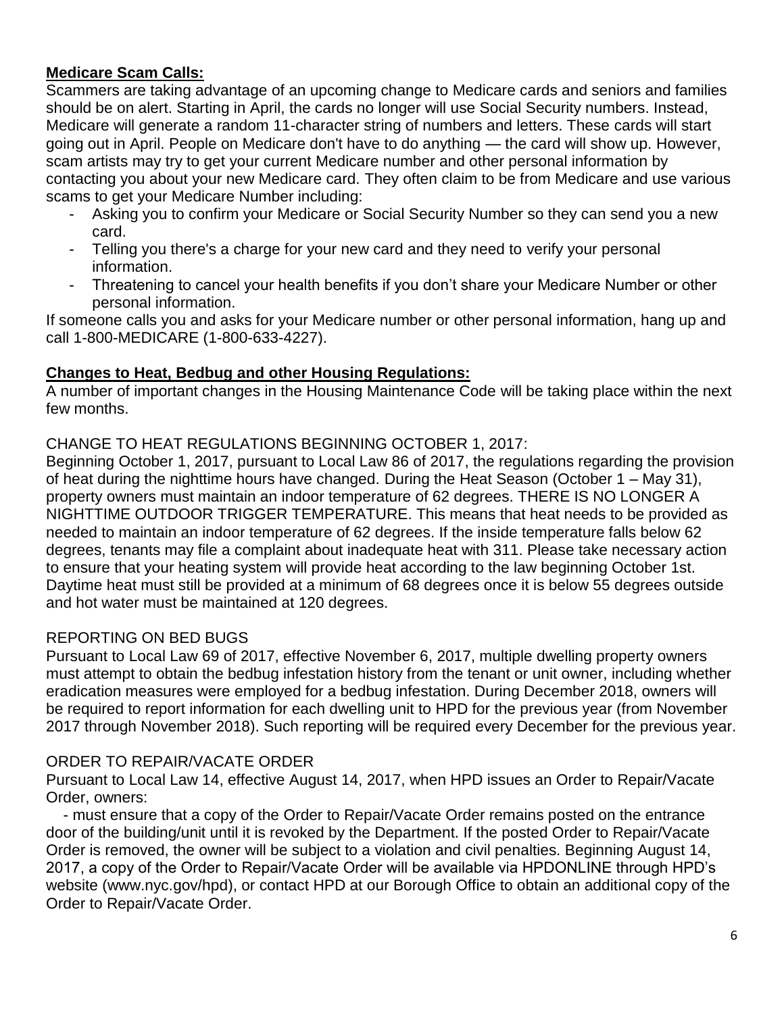## **Medicare Scam Calls:**

Scammers are taking advantage of an upcoming change to Medicare cards and seniors and families should be on alert. Starting in April, the cards no longer will use Social Security numbers. Instead, Medicare will generate a random 11-character string of numbers and letters. These cards will start going out in April. People on Medicare don't have to do anything — the card will show up. However, scam artists may try to get your current Medicare number and other personal information by contacting you about your new Medicare card. They often claim to be from Medicare and use various scams to get your Medicare Number including:

- Asking you to confirm your Medicare or Social Security Number so they can send you a new card.
- Telling you there's a charge for your new card and they need to verify your personal information.
- Threatening to cancel your health benefits if you don't share your Medicare Number or other personal information.

If someone calls you and asks for your Medicare number or other personal information, hang up and call 1-800-MEDICARE (1-800-633-4227).

## **Changes to Heat, Bedbug and other Housing Regulations:**

A number of important changes in the Housing Maintenance Code will be taking place within the next few months.

#### CHANGE TO HEAT REGULATIONS BEGINNING OCTOBER 1, 2017:

Beginning October 1, 2017, pursuant to Local Law 86 of 2017, the regulations regarding the provision of heat during the nighttime hours have changed. During the Heat Season (October 1 – May 31), property owners must maintain an indoor temperature of 62 degrees. THERE IS NO LONGER A NIGHTTIME OUTDOOR TRIGGER TEMPERATURE. This means that heat needs to be provided as needed to maintain an indoor temperature of 62 degrees. If the inside temperature falls below 62 degrees, tenants may file a complaint about inadequate heat with 311. Please take necessary action to ensure that your heating system will provide heat according to the law beginning October 1st. Daytime heat must still be provided at a minimum of 68 degrees once it is below 55 degrees outside and hot water must be maintained at 120 degrees.

#### REPORTING ON BED BUGS

Pursuant to Local Law 69 of 2017, effective November 6, 2017, multiple dwelling property owners must attempt to obtain the bedbug infestation history from the tenant or unit owner, including whether eradication measures were employed for a bedbug infestation. During December 2018, owners will be required to report information for each dwelling unit to HPD for the previous year (from November 2017 through November 2018). Such reporting will be required every December for the previous year.

#### ORDER TO REPAIR/VACATE ORDER

Pursuant to Local Law 14, effective August 14, 2017, when HPD issues an Order to Repair/Vacate Order, owners:

 - must ensure that a copy of the Order to Repair/Vacate Order remains posted on the entrance door of the building/unit until it is revoked by the Department. If the posted Order to Repair/Vacate Order is removed, the owner will be subject to a violation and civil penalties. Beginning August 14, 2017, a copy of the Order to Repair/Vacate Order will be available via HPDONLINE through HPD's website (www.nyc.gov/hpd), or contact HPD at our Borough Office to obtain an additional copy of the Order to Repair/Vacate Order.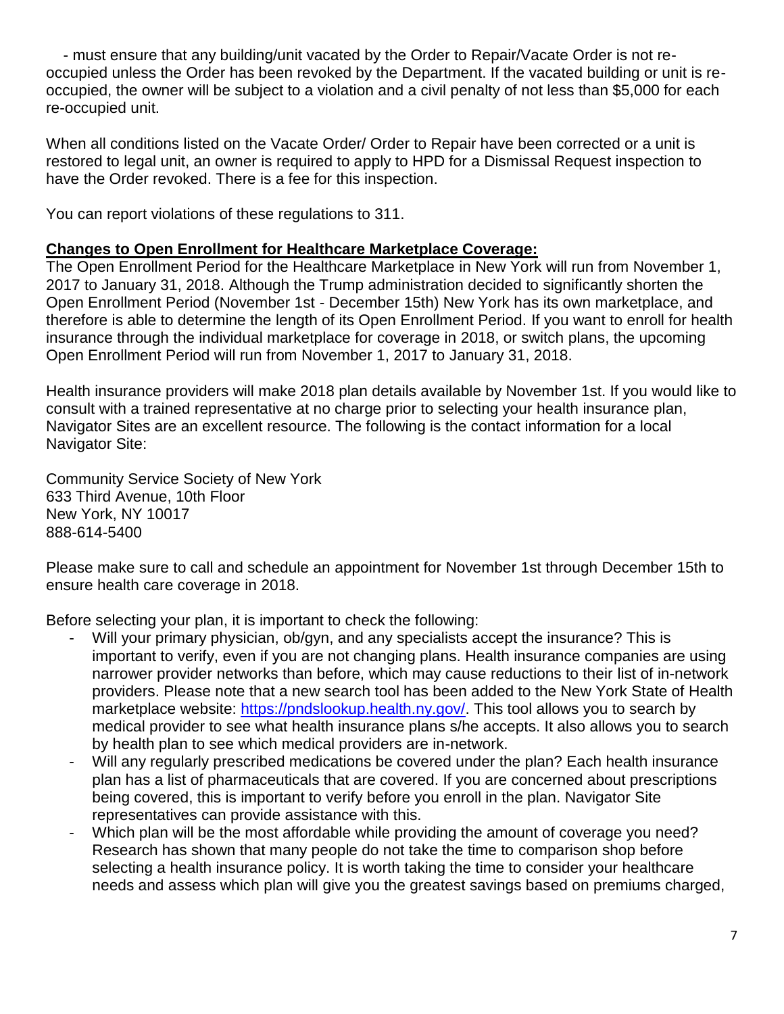- must ensure that any building/unit vacated by the Order to Repair/Vacate Order is not reoccupied unless the Order has been revoked by the Department. If the vacated building or unit is reoccupied, the owner will be subject to a violation and a civil penalty of not less than \$5,000 for each re-occupied unit.

When all conditions listed on the Vacate Order/ Order to Repair have been corrected or a unit is restored to legal unit, an owner is required to apply to HPD for a Dismissal Request inspection to have the Order revoked. There is a fee for this inspection.

You can report violations of these regulations to 311.

#### **Changes to Open Enrollment for Healthcare Marketplace Coverage:**

The Open Enrollment Period for the Healthcare Marketplace in New York will run from November 1, 2017 to January 31, 2018. Although the Trump administration decided to significantly shorten the Open Enrollment Period (November 1st - December 15th) New York has its own marketplace, and therefore is able to determine the length of its Open Enrollment Period. If you want to enroll for health insurance through the individual marketplace for coverage in 2018, or switch plans, the upcoming Open Enrollment Period will run from November 1, 2017 to January 31, 2018.

Health insurance providers will make 2018 plan details available by November 1st. If you would like to consult with a trained representative at no charge prior to selecting your health insurance plan, Navigator Sites are an excellent resource. The following is the contact information for a local Navigator Site:

Community Service Society of New York 633 Third Avenue, 10th Floor New York, NY 10017 888-614-5400

Please make sure to call and schedule an appointment for November 1st through December 15th to ensure health care coverage in 2018.

Before selecting your plan, it is important to check the following:

- Will your primary physician, ob/gyn, and any specialists accept the insurance? This is important to verify, even if you are not changing plans. Health insurance companies are using narrower provider networks than before, which may cause reductions to their list of in-network providers. Please note that a new search tool has been added to the New York State of Health marketplace website: [https://pndslookup.health.ny.gov/.](https://pndslookup.health.ny.gov/) This tool allows you to search by medical provider to see what health insurance plans s/he accepts. It also allows you to search by health plan to see which medical providers are in-network.
- Will any regularly prescribed medications be covered under the plan? Each health insurance plan has a list of pharmaceuticals that are covered. If you are concerned about prescriptions being covered, this is important to verify before you enroll in the plan. Navigator Site representatives can provide assistance with this.
- Which plan will be the most affordable while providing the amount of coverage you need? Research has shown that many people do not take the time to comparison shop before selecting a health insurance policy. It is worth taking the time to consider your healthcare needs and assess which plan will give you the greatest savings based on premiums charged,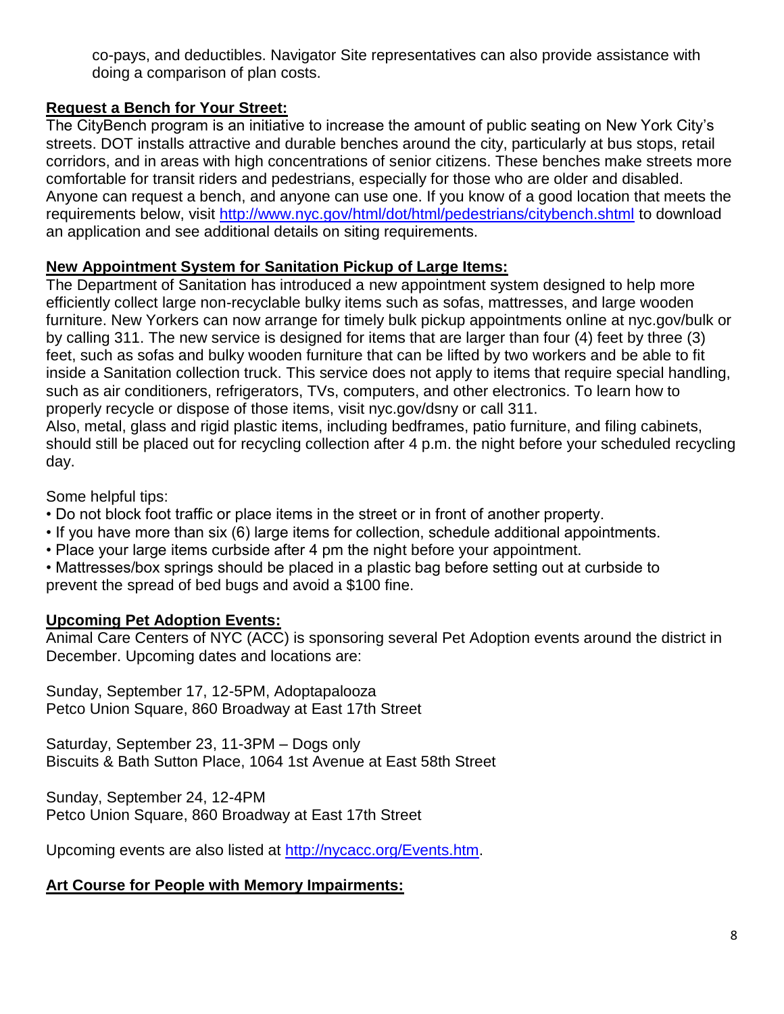co-pays, and deductibles. Navigator Site representatives can also provide assistance with doing a comparison of plan costs.

## **Request a Bench for Your Street:**

The CityBench program is an initiative to increase the amount of public seating on New York City's streets. DOT installs attractive and durable benches around the city, particularly at bus stops, retail corridors, and in areas with high concentrations of senior citizens. These benches make streets more comfortable for transit riders and pedestrians, especially for those who are older and disabled. Anyone can request a bench, and anyone can use one. If you know of a good location that meets the requirements below, visit<http://www.nyc.gov/html/dot/html/pedestrians/citybench.shtml> to download an application and see additional details on siting requirements.

## **New Appointment System for Sanitation Pickup of Large Items:**

The Department of Sanitation has introduced a new appointment system designed to help more efficiently collect large non-recyclable bulky items such as sofas, mattresses, and large wooden furniture. New Yorkers can now arrange for timely bulk pickup appointments online at nyc.gov/bulk or by calling 311. The new service is designed for items that are larger than four (4) feet by three (3) feet, such as sofas and bulky wooden furniture that can be lifted by two workers and be able to fit inside a Sanitation collection truck. This service does not apply to items that require special handling, such as air conditioners, refrigerators, TVs, computers, and other electronics. To learn how to properly recycle or dispose of those items, visit nyc.gov/dsny or call 311. Also, metal, glass and rigid plastic items, including bedframes, patio furniture, and filing cabinets,

should still be placed out for recycling collection after 4 p.m. the night before your scheduled recycling day.

Some helpful tips:

- Do not block foot traffic or place items in the street or in front of another property.
- If you have more than six (6) large items for collection, schedule additional appointments.
- Place your large items curbside after 4 pm the night before your appointment.

• Mattresses/box springs should be placed in a plastic bag before setting out at curbside to prevent the spread of bed bugs and avoid a \$100 fine.

## **Upcoming Pet Adoption Events:**

Animal Care Centers of NYC (ACC) is sponsoring several Pet Adoption events around the district in December. Upcoming dates and locations are:

Sunday, September 17, 12-5PM, Adoptapalooza Petco Union Square, 860 Broadway at East 17th Street

Saturday, September 23, 11-3PM – Dogs only Biscuits & Bath Sutton Place, 1064 1st Avenue at East 58th Street

Sunday, September 24, 12-4PM Petco Union Square, 860 Broadway at East 17th Street

Upcoming events are also listed at [http://nycacc.org/Events.htm.](http://nycacc.org/Events.htm)

## **Art Course for People with Memory Impairments:**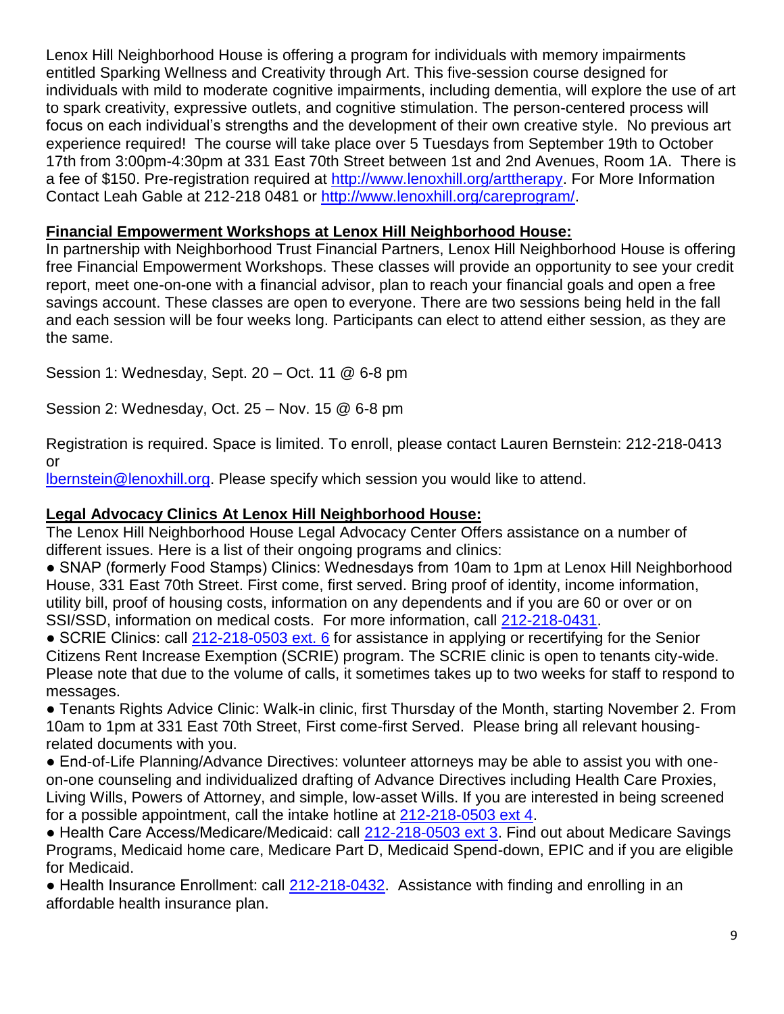Lenox Hill Neighborhood House is offering a program for individuals with memory impairments entitled Sparking Wellness and Creativity through Art. This five-session course designed for individuals with mild to moderate cognitive impairments, including dementia, will explore the use of art to spark creativity, expressive outlets, and cognitive stimulation. The person-centered process will focus on each individual's strengths and the development of their own creative style. No previous art experience required! The course will take place over 5 Tuesdays from September 19th to October 17th from 3:00pm-4:30pm at 331 East 70th Street between 1st and 2nd Avenues, Room 1A. There is a fee of \$150. Pre-registration required at [http://www.lenoxhill.org/arttherapy.](http://www.lenoxhill.org/arttherapy) For More Information Contact Leah Gable at 212-218 0481 or [http://www.lenoxhill.org/careprogram/.](http://www.lenoxhill.org/careprogram/)

#### **Financial Empowerment Workshops at Lenox Hill Neighborhood House:**

In partnership with Neighborhood Trust Financial Partners, Lenox Hill Neighborhood House is offering free Financial Empowerment Workshops. These classes will provide an opportunity to see your credit report, meet one-on-one with a financial advisor, plan to reach your financial goals and open a free savings account. These classes are open to everyone. There are two sessions being held in the fall and each session will be four weeks long. Participants can elect to attend either session, as they are the same.

Session 1: Wednesday, Sept. 20 – Oct. 11 @ 6-8 pm

Session 2: Wednesday, Oct. 25 – Nov. 15 @ 6-8 pm

Registration is required. Space is limited. To enroll, please contact Lauren Bernstein: 212-218-0413 or

[lbernstein@lenoxhill.org.](mailto:lbernstein@lenoxhill.org) Please specify which session you would like to attend.

#### **Legal Advocacy Clinics At Lenox Hill Neighborhood House:**

The Lenox Hill Neighborhood House Legal Advocacy Center Offers assistance on a number of different issues. Here is a list of their ongoing programs and clinics:

● SNAP (formerly Food Stamps) Clinics: Wednesdays from 10am to 1pm at Lenox Hill Neighborhood House, 331 East 70th Street. First come, first served. Bring proof of identity, income information, utility bill, proof of housing costs, information on any dependents and if you are 60 or over or on SSI/SSD, information on medical costs. For more information, call [212-218-0431.](tel:212-218-0431)

● SCRIE Clinics: call [212-218-0503 ext. 6](tel:212-218-0503%20ext.%206) for assistance in applying or recertifying for the Senior Citizens Rent Increase Exemption (SCRIE) program. The SCRIE clinic is open to tenants city-wide. Please note that due to the volume of calls, it sometimes takes up to two weeks for staff to respond to messages.

● Tenants Rights Advice Clinic: Walk-in clinic, first Thursday of the Month, starting November 2. From 10am to 1pm at 331 East 70th Street, First come-first Served. Please bring all relevant housingrelated documents with you.

● End-of-Life Planning/Advance Directives: volunteer attorneys may be able to assist you with oneon-one counseling and individualized drafting of Advance Directives including Health Care Proxies, Living Wills, Powers of Attorney, and simple, low-asset Wills. If you are interested in being screened for a possible appointment, call the intake hotline at [212-218-0503 ext 4.](tel:212-218-0503%20ext%204)

● Health Care Access/Medicare/Medicaid: call [212-218-0503 ext 3.](tel:212-218-0503%20ext%203) Find out about Medicare Savings Programs, Medicaid home care, Medicare Part D, Medicaid Spend-down, EPIC and if you are eligible for Medicaid.

• Health Insurance Enrollment: call [212-218-0432.](tel:212-218-0432) Assistance with finding and enrolling in an affordable health insurance plan.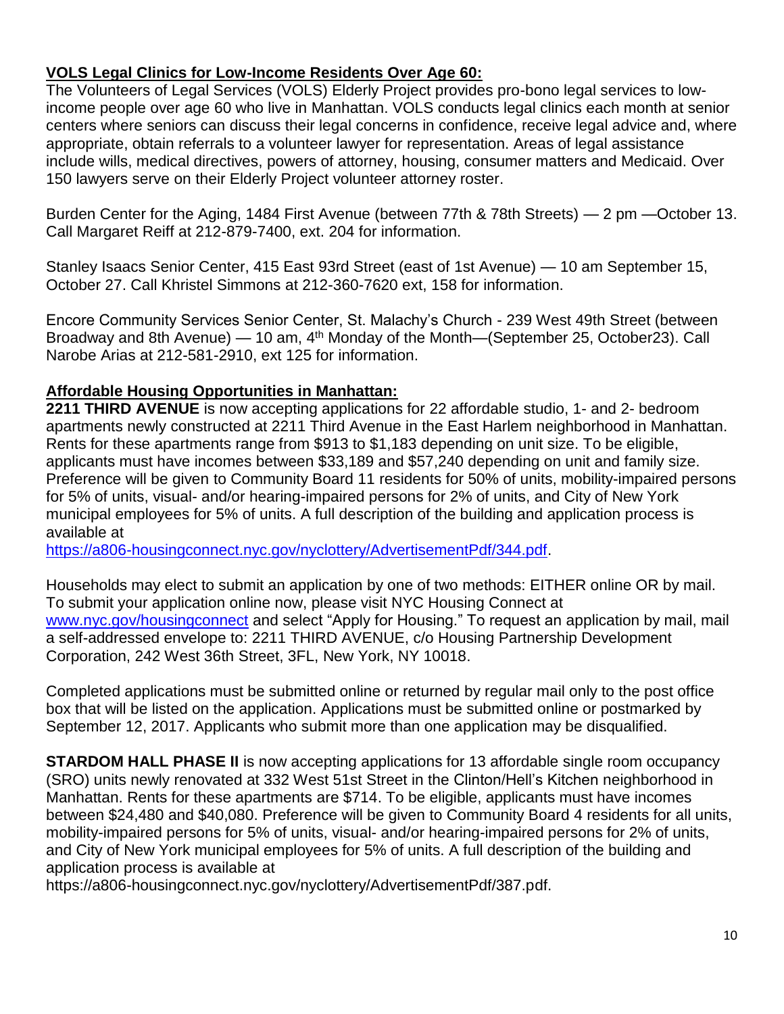## **VOLS Legal Clinics for Low-Income Residents Over Age 60:**

The Volunteers of Legal Services (VOLS) Elderly Project provides pro-bono legal services to lowincome people over age 60 who live in Manhattan. VOLS conducts legal clinics each month at senior centers where seniors can discuss their legal concerns in confidence, receive legal advice and, where appropriate, obtain referrals to a volunteer lawyer for representation. Areas of legal assistance include wills, medical directives, powers of attorney, housing, consumer matters and Medicaid. Over 150 lawyers serve on their Elderly Project volunteer attorney roster.

Burden Center for the Aging, 1484 First Avenue (between 77th & 78th Streets) — 2 pm —October 13. Call Margaret Reiff at 212-879-7400, ext. 204 for information.

Stanley Isaacs Senior Center, 415 East 93rd Street (east of 1st Avenue) — 10 am September 15, October 27. Call Khristel Simmons at 212-360-7620 ext, 158 for information.

Encore Community Services Senior Center, St. Malachy's Church - 239 West 49th Street (between Broadway and 8th Avenue) — 10 am, 4<sup>th</sup> Monday of the Month—(September 25, October 23). Call Narobe Arias at 212-581-2910, ext 125 for information.

## **Affordable Housing Opportunities in Manhattan:**

**2211 THIRD AVENUE** is now accepting applications for 22 affordable studio, 1- and 2- bedroom apartments newly constructed at 2211 Third Avenue in the East Harlem neighborhood in Manhattan. Rents for these apartments range from \$913 to \$1,183 depending on unit size. To be eligible, applicants must have incomes between \$33,189 and \$57,240 depending on unit and family size. Preference will be given to Community Board 11 residents for 50% of units, mobility-impaired persons for 5% of units, visual- and/or hearing-impaired persons for 2% of units, and City of New York municipal employees for 5% of units. A full description of the building and application process is available at

[https://a806-housingconnect.nyc.gov/nyclottery/AdvertisementPdf/344.pdf.](https://a806-housingconnect.nyc.gov/nyclottery/AdvertisementPdf/344.pdf)

Households may elect to submit an application by one of two methods: EITHER online OR by mail. To submit your application online now, please visit NYC Housing Connect at [www.nyc.gov/housingconnect](http://www.nyc.gov/housingconnect) and select "Apply for Housing." To request an application by mail, mail a self-addressed envelope to: 2211 THIRD AVENUE, c/o Housing Partnership Development Corporation, 242 West 36th Street, 3FL, New York, NY 10018.

Completed applications must be submitted online or returned by regular mail only to the post office box that will be listed on the application. Applications must be submitted online or postmarked by September 12, 2017. Applicants who submit more than one application may be disqualified.

**STARDOM HALL PHASE II** is now accepting applications for 13 affordable single room occupancy (SRO) units newly renovated at 332 West 51st Street in the Clinton/Hell's Kitchen neighborhood in Manhattan. Rents for these apartments are \$714. To be eligible, applicants must have incomes between \$24,480 and \$40,080. Preference will be given to Community Board 4 residents for all units, mobility-impaired persons for 5% of units, visual- and/or hearing-impaired persons for 2% of units, and City of New York municipal employees for 5% of units. A full description of the building and application process is available at

https://a806-housingconnect.nyc.gov/nyclottery/AdvertisementPdf/387.pdf.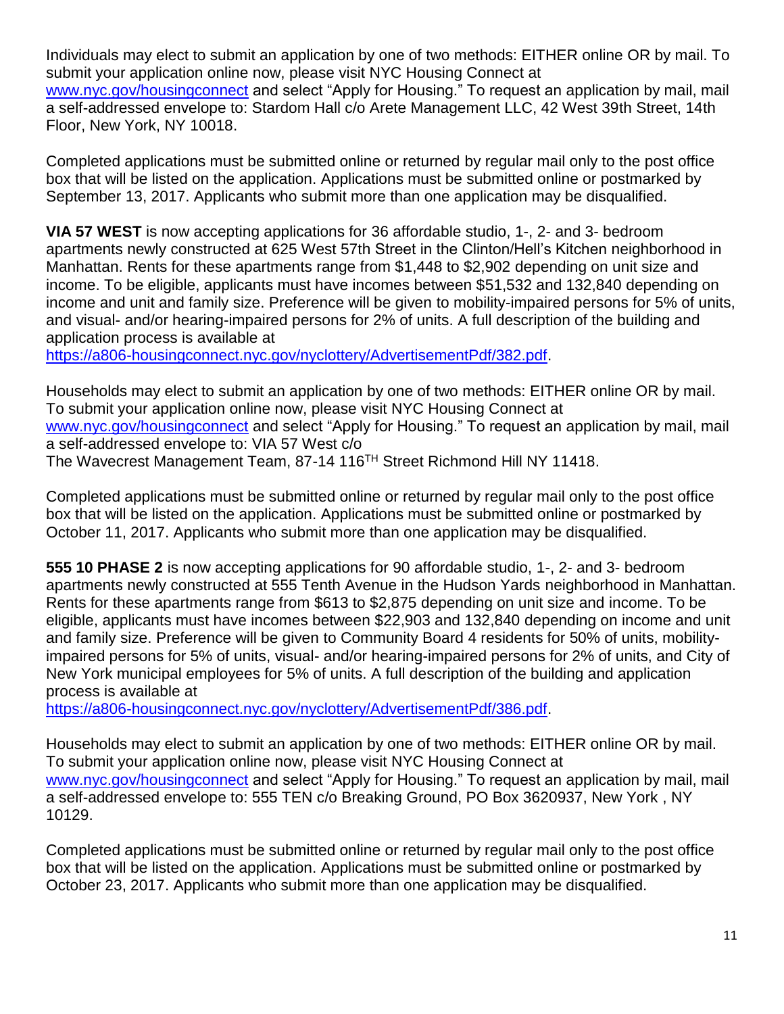Individuals may elect to submit an application by one of two methods: EITHER online OR by mail. To submit your application online now, please visit NYC Housing Connect at [www.nyc.gov/housingconnect](http://www.nyc.gov/housingconnect) and select "Apply for Housing." To request an application by mail, mail a self-addressed envelope to: Stardom Hall c/o Arete Management LLC, 42 West 39th Street, 14th Floor, New York, NY 10018.

Completed applications must be submitted online or returned by regular mail only to the post office box that will be listed on the application. Applications must be submitted online or postmarked by September 13, 2017. Applicants who submit more than one application may be disqualified.

**VIA 57 WEST** is now accepting applications for 36 affordable studio, 1-, 2- and 3- bedroom apartments newly constructed at 625 West 57th Street in the Clinton/Hell's Kitchen neighborhood in Manhattan. Rents for these apartments range from \$1,448 to \$2,902 depending on unit size and income. To be eligible, applicants must have incomes between \$51,532 and 132,840 depending on income and unit and family size. Preference will be given to mobility-impaired persons for 5% of units, and visual- and/or hearing-impaired persons for 2% of units. A full description of the building and application process is available at

[https://a806-housingconnect.nyc.gov/nyclottery/AdvertisementPdf/382.pdf.](https://a806-housingconnect.nyc.gov/nyclottery/AdvertisementPdf/382.pdf)

Households may elect to submit an application by one of two methods: EITHER online OR by mail. To submit your application online now, please visit NYC Housing Connect at [www.nyc.gov/housingconnect](http://www.nyc.gov/housingconnect) and select "Apply for Housing." To request an application by mail, mail a self-addressed envelope to: VIA 57 West c/o The Wavecrest Management Team, 87-14 116TH Street Richmond Hill NY 11418.

Completed applications must be submitted online or returned by regular mail only to the post office box that will be listed on the application. Applications must be submitted online or postmarked by October 11, 2017. Applicants who submit more than one application may be disqualified.

**555 10 PHASE 2** is now accepting applications for 90 affordable studio, 1-, 2- and 3- bedroom apartments newly constructed at 555 Tenth Avenue in the Hudson Yards neighborhood in Manhattan. Rents for these apartments range from \$613 to \$2,875 depending on unit size and income. To be eligible, applicants must have incomes between \$22,903 and 132,840 depending on income and unit and family size. Preference will be given to Community Board 4 residents for 50% of units, mobilityimpaired persons for 5% of units, visual- and/or hearing-impaired persons for 2% of units, and City of New York municipal employees for 5% of units. A full description of the building and application process is available at

[https://a806-housingconnect.nyc.gov/nyclottery/AdvertisementPdf/386.pdf.](https://a806-housingconnect.nyc.gov/nyclottery/AdvertisementPdf/386.pdf)

Households may elect to submit an application by one of two methods: EITHER online OR by mail. To submit your application online now, please visit NYC Housing Connect at [www.nyc.gov/housingconnect](http://www.nyc.gov/housingconnect) and select "Apply for Housing." To request an application by mail, mail a self-addressed envelope to: 555 TEN c/o Breaking Ground, PO Box 3620937, New York , NY 10129.

Completed applications must be submitted online or returned by regular mail only to the post office box that will be listed on the application. Applications must be submitted online or postmarked by October 23, 2017. Applicants who submit more than one application may be disqualified.